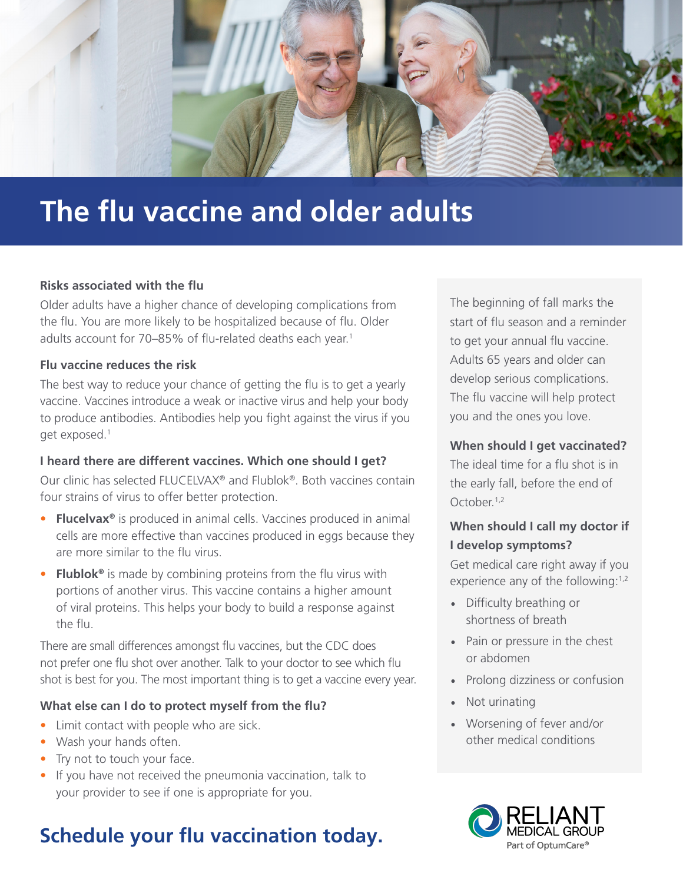

# **The flu vaccine and older adults**

#### **Risks associated with the flu**

Older adults have a higher chance of developing complications from the flu. You are more likely to be hospitalized because of flu. Older adults account for 70–85% of flu-related deaths each year.<sup>1</sup>

#### **Flu vaccine reduces the risk**

The best way to reduce your chance of getting the flu is to get a yearly vaccine. Vaccines introduce a weak or inactive virus and help your body to produce antibodies. Antibodies help you fight against the virus if you get exposed.1

#### **I heard there are different vaccines. Which one should I get?**

Our clinic has selected FLUCELVAX® and Flublok®. Both vaccines contain four strains of virus to offer better protection.

- **Flucelvax<sup>®</sup>** is produced in animal cells. Vaccines produced in animal cells are more effective than vaccines produced in eggs because they are more similar to the flu virus.
- **Flublok®** is made by combining proteins from the flu virus with portions of another virus. This vaccine contains a higher amount of viral proteins. This helps your body to build a response against the flu.

There are small differences amongst flu vaccines, but the CDC does not prefer one flu shot over another. Talk to your doctor to see which flu shot is best for you. The most important thing is to get a vaccine every year.

#### **What else can I do to protect myself from the flu?**

- Limit contact with people who are sick.
- Wash your hands often.
- Try not to touch your face.
- If you have not received the pneumonia vaccination, talk to your provider to see if one is appropriate for you.

## **Schedule your flu vaccination today.**

The beginning of fall marks the start of flu season and a reminder to get your annual flu vaccine. Adults 65 years and older can develop serious complications. The flu vaccine will help protect you and the ones you love.

#### **When should I get vaccinated?**

The ideal time for a flu shot is in the early fall, before the end of October.<sup>1,2</sup>

### **When should I call my doctor if I develop symptoms?**

Get medical care right away if you experience any of the following:<sup>1,2</sup>

- Difficulty breathing or shortness of breath
- Pain or pressure in the chest or abdomen
- Prolong dizziness or confusion
- Not urinating
- Worsening of fever and/or other medical conditions